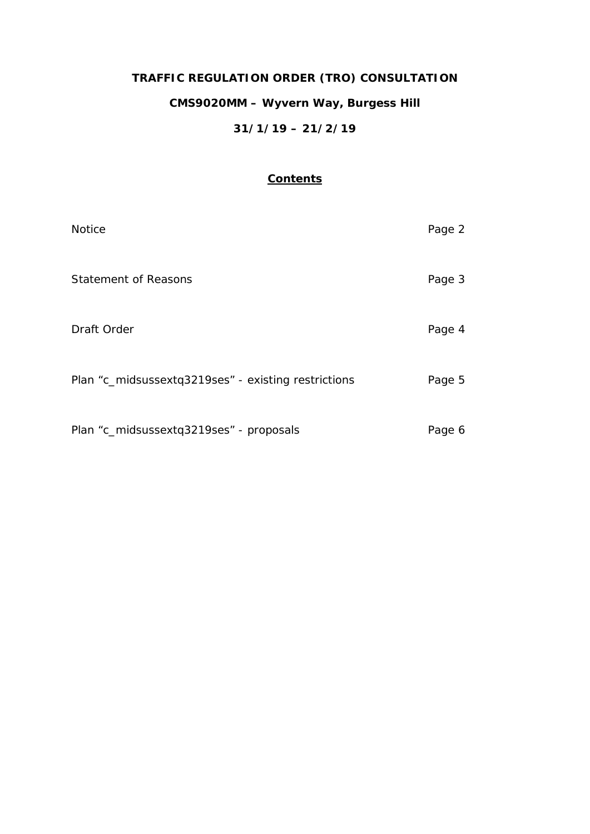# **TRAFFIC REGULATION ORDER (TRO) CONSULTATION CMS9020MM – Wyvern Way, Burgess Hill 31/1/19 – 21/2/19**

# **Contents**

| <b>Notice</b>                                       | Page 2 |
|-----------------------------------------------------|--------|
| <b>Statement of Reasons</b>                         | Page 3 |
| Draft Order                                         | Page 4 |
| Plan "c_midsussextq3219ses" - existing restrictions | Page 5 |
| Plan "c_midsussextq3219ses" - proposals             | Page 6 |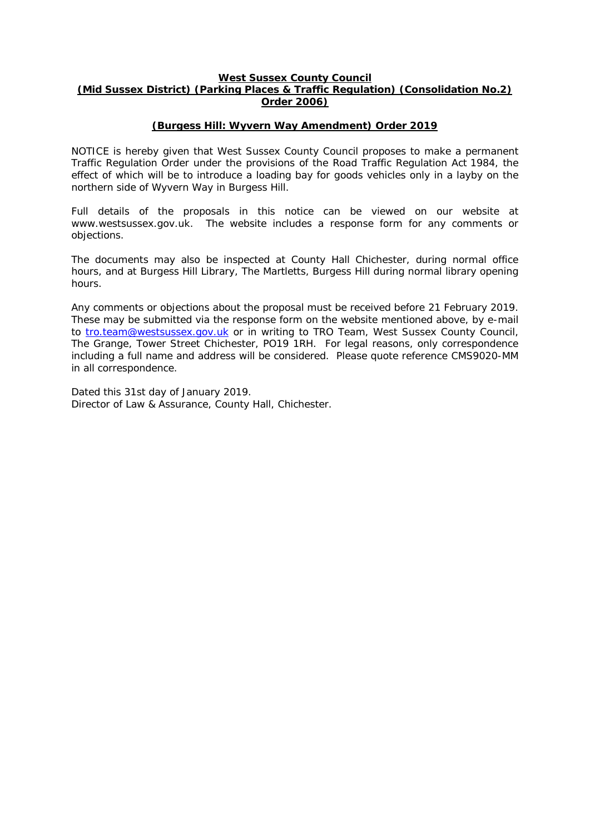#### **West Sussex County Council (Mid Sussex District) (Parking Places & Traffic Regulation) (Consolidation No.2) Order 2006)**

### **(Burgess Hill: Wyvern Way Amendment) Order 2019**

NOTICE is hereby given that West Sussex County Council proposes to make a permanent Traffic Regulation Order under the provisions of the Road Traffic Regulation Act 1984, the effect of which will be to introduce a loading bay for goods vehicles only in a layby on the northern side of Wyvern Way in Burgess Hill.

Full details of the proposals in this notice can be viewed on our website at www.westsussex.gov.uk. The website includes a response form for any comments or objections.

The documents may also be inspected at County Hall Chichester, during normal office hours, and at Burgess Hill Library, The Martletts, Burgess Hill during normal library opening hours.

Any comments or objections about the proposal must be received before 21 February 2019. These may be submitted via the response form on the website mentioned above, by e-mail to [tro.team@westsussex.gov.uk](mailto:tro.team@westsussex.gov.uk) or in writing to TRO Team, West Sussex County Council, The Grange, Tower Street Chichester, PO19 1RH. For legal reasons, only correspondence including a full name and address will be considered. Please quote reference CMS9020-MM in all correspondence.

Dated this 31st day of January 2019. Director of Law & Assurance, County Hall, Chichester.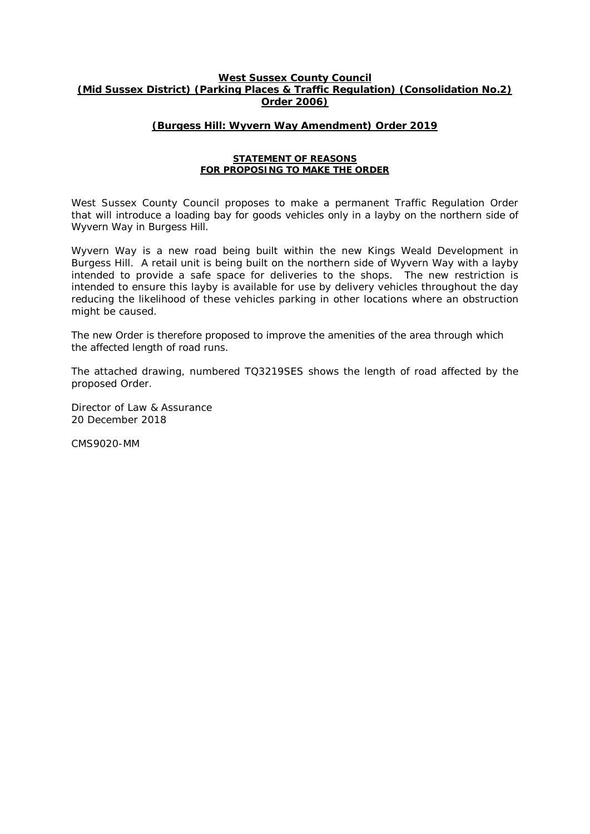#### **West Sussex County Council (Mid Sussex District) (Parking Places & Traffic Regulation) (Consolidation No.2) Order 2006)**

#### **(Burgess Hill: Wyvern Way Amendment) Order 2019**

#### **STATEMENT OF REASONS FOR PROPOSING TO MAKE THE ORDER**

West Sussex County Council proposes to make a permanent Traffic Regulation Order that will introduce a loading bay for goods vehicles only in a layby on the northern side of Wyvern Way in Burgess Hill.

Wyvern Way is a new road being built within the new Kings Weald Development in Burgess Hill. A retail unit is being built on the northern side of Wyvern Way with a layby intended to provide a safe space for deliveries to the shops. The new restriction is intended to ensure this layby is available for use by delivery vehicles throughout the day reducing the likelihood of these vehicles parking in other locations where an obstruction might be caused.

The new Order is therefore proposed to improve the amenities of the area through which the affected length of road runs.

The attached drawing, numbered TQ3219SES shows the length of road affected by the proposed Order.

Director of Law & Assurance 20 December 2018

CMS9020-MM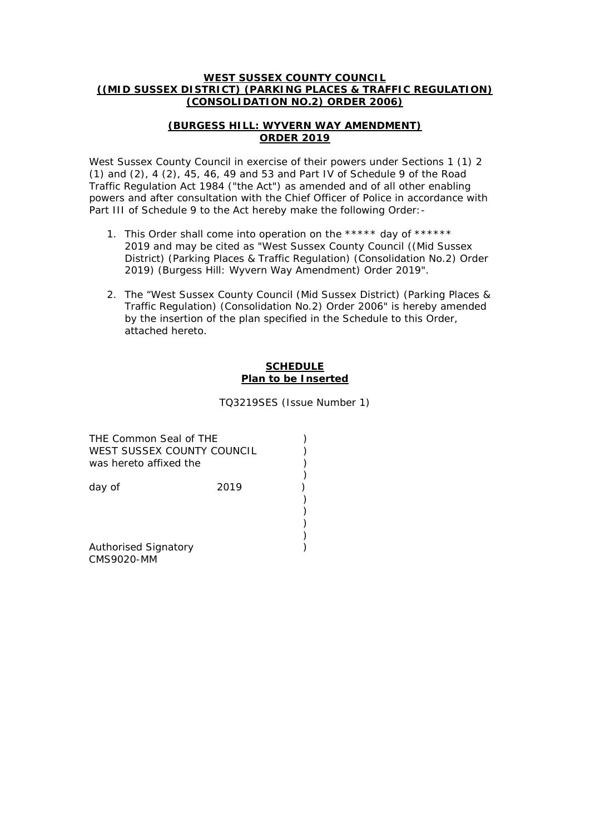#### **WEST SUSSEX COUNTY COUNCIL ((MID SUSSEX DISTRICT) (PARKING PLACES & TRAFFIC REGULATION) (CONSOLIDATION NO.2) ORDER 2006)**

## **(BURGESS HILL: WYVERN WAY AMENDMENT) ORDER 2019**

West Sussex County Council in exercise of their powers under Sections 1 (1) 2 (1) and (2), 4 (2), 45, 46, 49 and 53 and Part IV of Schedule 9 of the Road Traffic Regulation Act 1984 ("the Act") as amended and of all other enabling powers and after consultation with the Chief Officer of Police in accordance with Part III of Schedule 9 to the Act hereby make the following Order: -

- 1. This Order shall come into operation on the \*\*\*\*\* day of \*\*\*\*\*\* 2019 and may be cited as "West Sussex County Council ((Mid Sussex District) (Parking Places & Traffic Regulation) (Consolidation No.2) Order 2019) (Burgess Hill: Wyvern Way Amendment) Order 2019".
- 2. The "West Sussex County Council (Mid Sussex District) (Parking Places & Traffic Regulation) (Consolidation No.2) Order 2006" is hereby amended by the insertion of the plan specified in the Schedule to this Order, attached hereto.

#### **SCHEDULE Plan to be Inserted**

TQ3219SES (Issue Number 1)

| THE Common Seal of THE<br>WEST SUSSEX COUNTY COUNCIL<br>was hereto affixed the |      |  |
|--------------------------------------------------------------------------------|------|--|
| day of                                                                         | 2019 |  |
|                                                                                |      |  |
| <b>Authorised Signatory</b>                                                    |      |  |

CMS9020-MM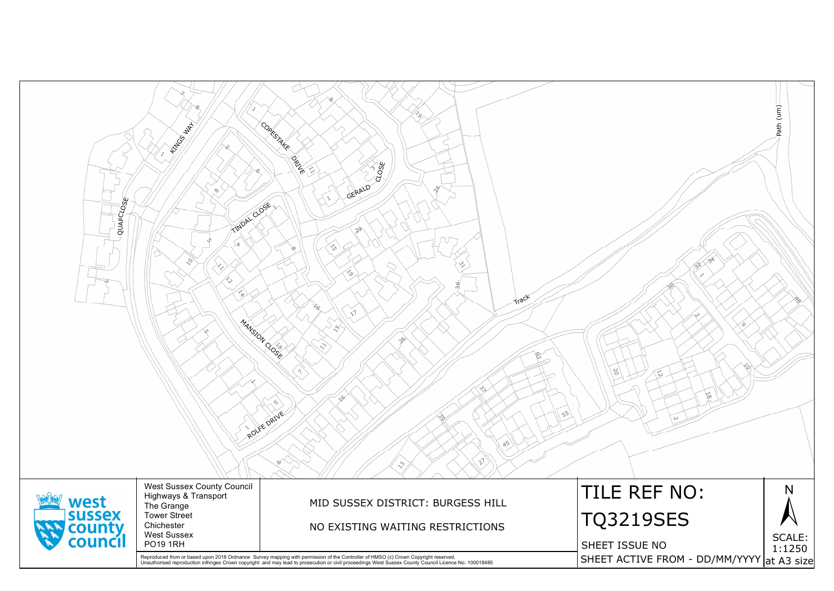